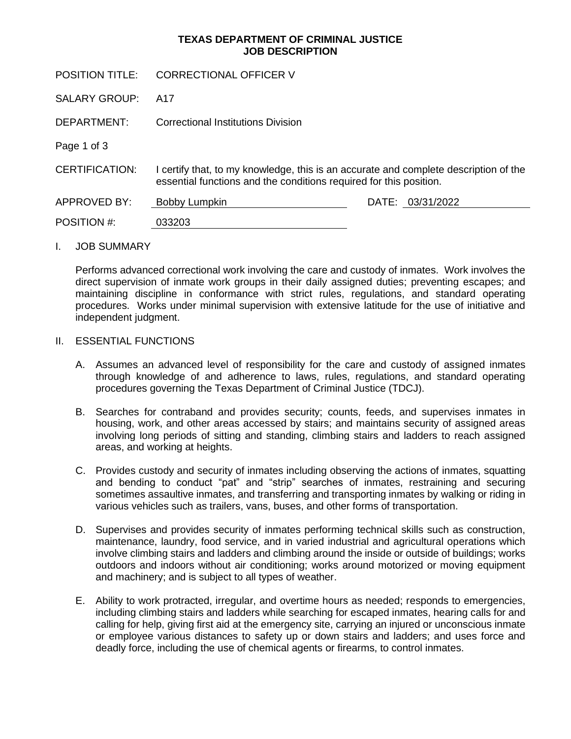# **TEXAS DEPARTMENT OF CRIMINAL JUSTICE JOB DESCRIPTION**

| <b>POSITION TITLE:</b> | <b>CORRECTIONAL OFFICER V</b>                                                                                                                              |                  |
|------------------------|------------------------------------------------------------------------------------------------------------------------------------------------------------|------------------|
| <b>SALARY GROUP:</b>   | A17                                                                                                                                                        |                  |
| DEPARTMENT:            | Correctional Institutions Division                                                                                                                         |                  |
| Page 1 of 3            |                                                                                                                                                            |                  |
| <b>CERTIFICATION:</b>  | I certify that, to my knowledge, this is an accurate and complete description of the<br>essential functions and the conditions required for this position. |                  |
| APPROVED BY:           | Bobby Lumpkin                                                                                                                                              | DATE: 03/31/2022 |
| POSITION #:            | 033203                                                                                                                                                     |                  |

#### I. JOB SUMMARY

Performs advanced correctional work involving the care and custody of inmates. Work involves the direct supervision of inmate work groups in their daily assigned duties; preventing escapes; and maintaining discipline in conformance with strict rules, regulations, and standard operating procedures. Works under minimal supervision with extensive latitude for the use of initiative and independent judgment.

#### II. ESSENTIAL FUNCTIONS

- A. Assumes an advanced level of responsibility for the care and custody of assigned inmates through knowledge of and adherence to laws, rules, regulations, and standard operating procedures governing the Texas Department of Criminal Justice (TDCJ).
- B. Searches for contraband and provides security; counts, feeds, and supervises inmates in housing, work, and other areas accessed by stairs; and maintains security of assigned areas involving long periods of sitting and standing, climbing stairs and ladders to reach assigned areas, and working at heights.
- C. Provides custody and security of inmates including observing the actions of inmates, squatting and bending to conduct "pat" and "strip" searches of inmates, restraining and securing sometimes assaultive inmates, and transferring and transporting inmates by walking or riding in various vehicles such as trailers, vans, buses, and other forms of transportation.
- D. Supervises and provides security of inmates performing technical skills such as construction, maintenance, laundry, food service, and in varied industrial and agricultural operations which involve climbing stairs and ladders and climbing around the inside or outside of buildings; works outdoors and indoors without air conditioning; works around motorized or moving equipment and machinery; and is subject to all types of weather.
- E. Ability to work protracted, irregular, and overtime hours as needed; responds to emergencies, including climbing stairs and ladders while searching for escaped inmates, hearing calls for and calling for help, giving first aid at the emergency site, carrying an injured or unconscious inmate or employee various distances to safety up or down stairs and ladders; and uses force and deadly force, including the use of chemical agents or firearms, to control inmates.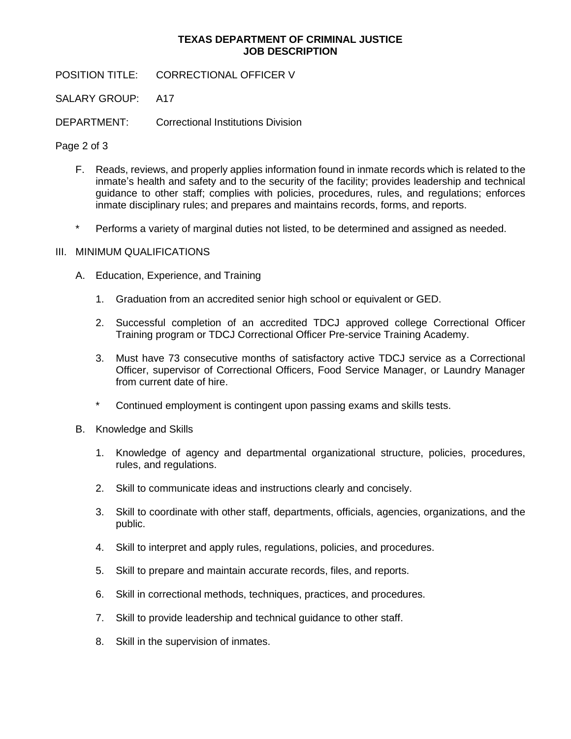# **TEXAS DEPARTMENT OF CRIMINAL JUSTICE JOB DESCRIPTION**

POSITION TITLE: CORRECTIONAL OFFICER V

SALARY GROUP: A17

DEPARTMENT: Correctional Institutions Division

Page 2 of 3

- F. Reads, reviews, and properly applies information found in inmate records which is related to the inmate's health and safety and to the security of the facility; provides leadership and technical guidance to other staff; complies with policies, procedures, rules, and regulations; enforces inmate disciplinary rules; and prepares and maintains records, forms, and reports.
- \* Performs a variety of marginal duties not listed, to be determined and assigned as needed.

# III. MINIMUM QUALIFICATIONS

- A. Education, Experience, and Training
	- 1. Graduation from an accredited senior high school or equivalent or GED.
	- 2. Successful completion of an accredited TDCJ approved college Correctional Officer Training program or TDCJ Correctional Officer Pre-service Training Academy.
	- 3. Must have 73 consecutive months of satisfactory active TDCJ service as a Correctional Officer, supervisor of Correctional Officers, Food Service Manager, or Laundry Manager from current date of hire.
	- \* Continued employment is contingent upon passing exams and skills tests.
- B. Knowledge and Skills
	- 1. Knowledge of agency and departmental organizational structure, policies, procedures, rules, and regulations.
	- 2. Skill to communicate ideas and instructions clearly and concisely.
	- 3. Skill to coordinate with other staff, departments, officials, agencies, organizations, and the public.
	- 4. Skill to interpret and apply rules, regulations, policies, and procedures.
	- 5. Skill to prepare and maintain accurate records, files, and reports.
	- 6. Skill in correctional methods, techniques, practices, and procedures.
	- 7. Skill to provide leadership and technical guidance to other staff.
	- 8. Skill in the supervision of inmates.